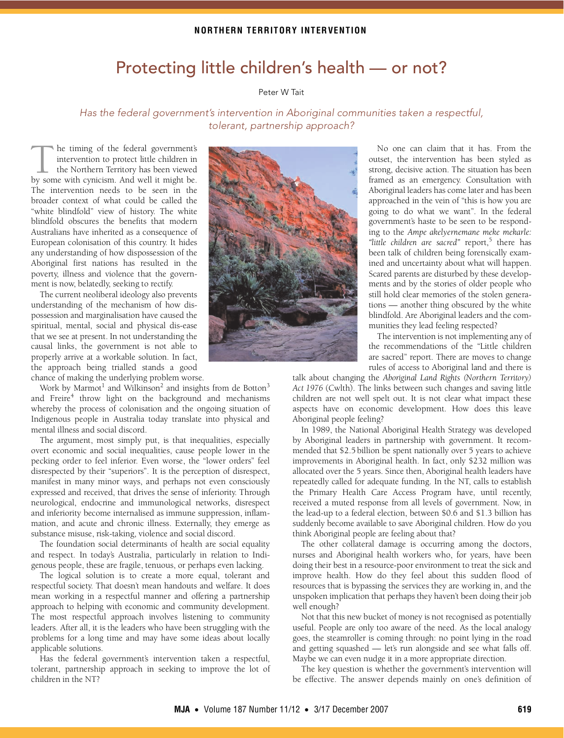# Protecting little children's health — or not?

## Peter W Tait

<span id="page-0-0"></span>Has the federal government's intervention in Aboriginal communities taken a respectful, tolerant, partnership approach?

he timing of the federal government's intervention to protect little children in the Northern Territory has been viewed The timing of the federal government's<br>intervention to protect little children in<br>the Northern Territory has been viewed<br>by some with cynicism. And well it might be. The intervention needs to be seen in the broader context of what could be called the "white blindfold" view of history. The white blindfold obscures the benefits that modern Australians have inherited as a consequence of European colonisation of this country. It hides any understanding of how dispossession of the Aboriginal first nations has resulted in the poverty, illness and violence that the government is now, belatedly, seeking to rectify.

The current neoliberal ideology also prevents understanding of the mechanism of how dispossession and marginalisation have caused the spiritual, mental, social and physical dis-ease that we see at present. In not understanding the causal links, the government is not able to properly arrive at a workable solution. In fact, the approach being trialled stands a good chance of making the underlying problem worse.

whereby the process of colonisation and the ongoing situation of Indigenous people in Australia today tra[nsla](#page-0-0)[te in](#page-1-5)to physical and mental illness and social discord. Work by Marmot $^{\rm l}$  and Wilkinson $^{\rm 2}$  and insights from de Botton $^{\rm 3}$  $^{\rm 3}$  $^{\rm 3}$ and Freire<sup>[4](#page-1-3)</sup> throw light on the background and mechanisms

The argument, most simply put, is that inequalities, especially Inc argument, most simply put, is that inequalities, especially<br>overt economic and social inequalities, cause people lower in the pecking order to feel inferior. Even worse, the "lower orders" feel disrespected by their "superiors". It is the perception of disrespect, manifest in many minor ways, and perhaps not even consciously expressed and received, that drives the sense of inferiority. Through neurological, endocrine and immunological networks, disrespect and inferiority become internalised as immune suppression, inflammation, and acute and chronic illness. Externally, they emerge as substance misuse, risk-taking, violence and social discord.

The foundation social determinants of health are social equality and respect. In today's Australia, particularly in relation to Indigenous people, these are fragile, tenuous, or perhaps even lacking.

The logical solution is to create a more equal, tolerant and respectful society. That doesn't mean handouts and welfare. It does mean working in a respectful manner and offering a partnership approach to helping with economic and community development. The most respectful approach involves listening to community leaders. After all, it is the leaders who have been struggling with the problems for a long time and may have some ideas about locally applicable solutions.

Has the federal government's intervention taken a respectful, tolerant, partnership approach in seeking to improve the lot of children in the NT?



No one can claim that it has. From the outset, the intervention has been styled as strong, decisive action. The situation has been framed as an emergency. Consultation with Aboriginal leaders has come later and has been approached in the vein of "this is how you are going to do what we want". In the federal government's haste to be seen to be responding to the *Ampe akelyernemane meke mekarle:* "little children are sacred" report,<sup>5</sup> there has been talk of children being forensically examined and uncertainty about what will happen. Scared parents are disturbed by these developments and by the stories of older people who still hold clear memories of the stolen generations — another thing obscured by the white blindfold. Are Aboriginal leaders and the communities they lead feeling respected?

The intervention is not implementing any of the recommendations of the "Little children are sacred" report. There are moves to change rules of access to Aboriginal land and there is

talk about changing the *Aboriginal Land Rights (Northern Territory) Act 1976* (Cwlth). The links between such changes and saving little children are not well spelt out. It is not clear what impact these aspects have on economic development. How does this leave Aboriginal people feeling?

In 1989, the National Aboriginal Health Strategy was developed by Aboriginal leaders in partnership with government. It recommended that \$2.5 billion be spent nationally over 5 years to achieve improvements in Aboriginal health. In fact, only \$232 million was allocated over the 5 years. Since then, Aboriginal health leaders have repeatedly called for adequate funding. In the NT, calls to establish the Primary Health Care Access Program have, until recently, received a muted response from all levels of government. Now, in the lead-up to a federal election, between \$0.6 and \$1.3 billion has suddenly become available to save Aboriginal children. How do you think Aboriginal people are feeling about that?

The other collateral damage is occurring among the doctors, nurses and Aboriginal health workers who, for years, have been doing their best in a resource-poor environment to treat the sick and improve health. How do they feel about this sudden flood of resources that is bypassing the services they are working in, and the unspoken implication that perhaps they haven't been doing their job well enough?

Not that this new bucket of money is not recognised as potentially useful. People are only too aware of the need. As the local analogy goes, the steamroller is coming through: no point lying in the road and getting squashed — let's run alongside and see what falls off. Maybe we can even nudge it in a more appropriate direction.

The key question is whether the government's intervention will be effective. The answer depends mainly on one's definition of